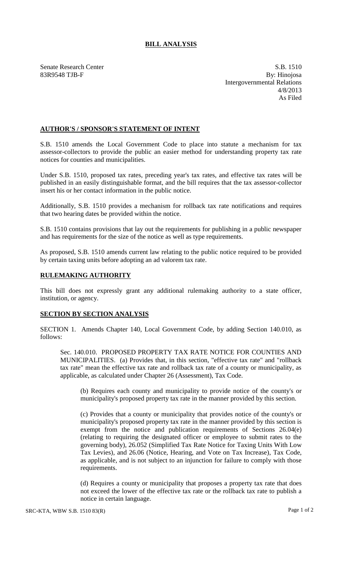## **BILL ANALYSIS**

Senate Research Center S.B. 1510 83R9548 TJB-F By: Hinojosa Intergovernmental Relations 4/8/2013 As Filed

## **AUTHOR'S / SPONSOR'S STATEMENT OF INTENT**

S.B. 1510 amends the Local Government Code to place into statute a mechanism for tax assessor-collectors to provide the public an easier method for understanding property tax rate notices for counties and municipalities.

Under S.B. 1510, proposed tax rates, preceding year's tax rates, and effective tax rates will be published in an easily distinguishable format, and the bill requires that the tax assessor-collector insert his or her contact information in the public notice.

Additionally, S.B. 1510 provides a mechanism for rollback tax rate notifications and requires that two hearing dates be provided within the notice.

S.B. 1510 contains provisions that lay out the requirements for publishing in a public newspaper and has requirements for the size of the notice as well as type requirements.

As proposed, S.B. 1510 amends current law relating to the public notice required to be provided by certain taxing units before adopting an ad valorem tax rate.

## **RULEMAKING AUTHORITY**

This bill does not expressly grant any additional rulemaking authority to a state officer, institution, or agency.

## **SECTION BY SECTION ANALYSIS**

SECTION 1. Amends Chapter 140, Local Government Code, by adding Section 140.010, as follows:

Sec. 140.010. PROPOSED PROPERTY TAX RATE NOTICE FOR COUNTIES AND MUNICIPALITIES. (a) Provides that, in this section, "effective tax rate" and "rollback tax rate" mean the effective tax rate and rollback tax rate of a county or municipality, as applicable, as calculated under Chapter 26 (Assessment), Tax Code.

(b) Requires each county and municipality to provide notice of the county's or municipality's proposed property tax rate in the manner provided by this section.

(c) Provides that a county or municipality that provides notice of the county's or municipality's proposed property tax rate in the manner provided by this section is exempt from the notice and publication requirements of Sections 26.04(e) (relating to requiring the designated officer or employee to submit rates to the governing body), 26.052 (Simplified Tax Rate Notice for Taxing Units With Low Tax Levies), and 26.06 (Notice, Hearing, and Vote on Tax Increase), Tax Code, as applicable, and is not subject to an injunction for failure to comply with those requirements.

(d) Requires a county or municipality that proposes a property tax rate that does not exceed the lower of the effective tax rate or the rollback tax rate to publish a notice in certain language.